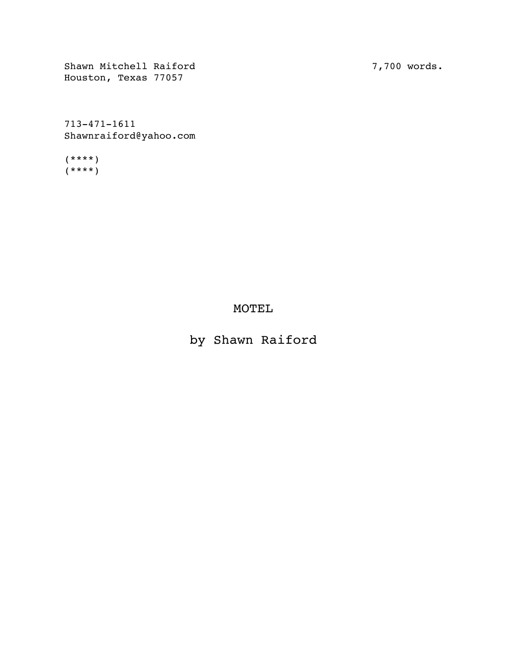Shawn Mitchell Raiford Houston, Texas 77057

7,700 words.

713-471-1611 Shawnraiford@yahoo.com

(\*\*\*\*)  $(****)$ 

MOTEL

by Shawn Raiford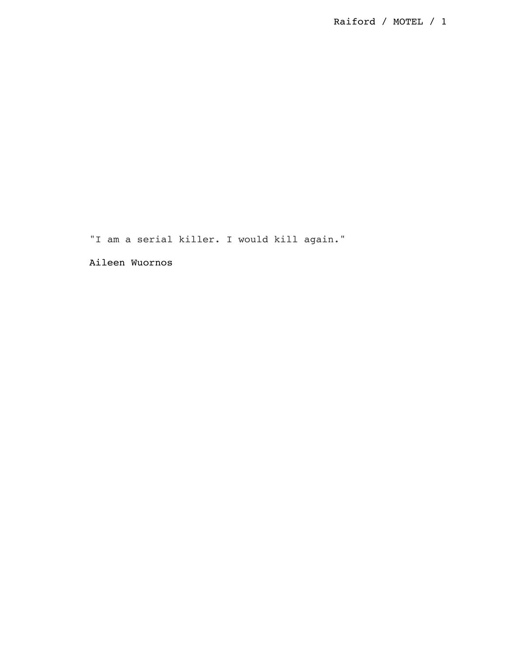"I am a serial killer. I would kill again."

Aileen Wuornos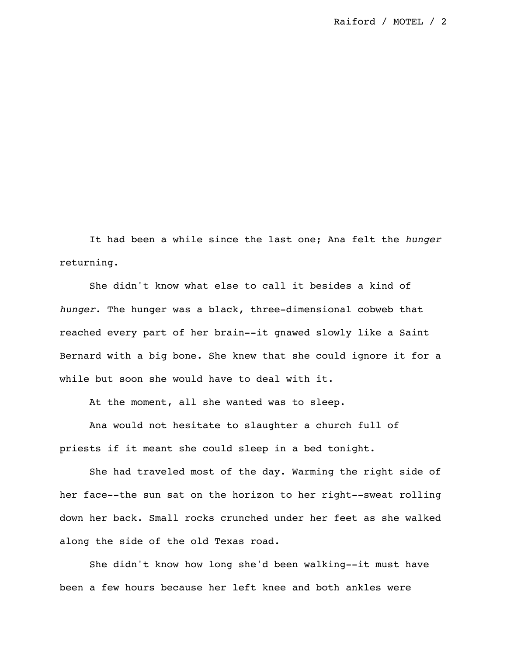It had been a while since the last one; Ana felt the *hunger* returning.

She didn't know what else to call it besides a kind of *hunger*. The hunger was a black, three-dimensional cobweb that reached every part of her brain--it gnawed slowly like a Saint Bernard with a big bone. She knew that she could ignore it for a while but soon she would have to deal with it.

At the moment, all she wanted was to sleep.

Ana would not hesitate to slaughter a church full of priests if it meant she could sleep in a bed tonight.

She had traveled most of the day. Warming the right side of her face--the sun sat on the horizon to her right--sweat rolling down her back. Small rocks crunched under her feet as she walked along the side of the old Texas road.

She didn't know how long she'd been walking--it must have been a few hours because her left knee and both ankles were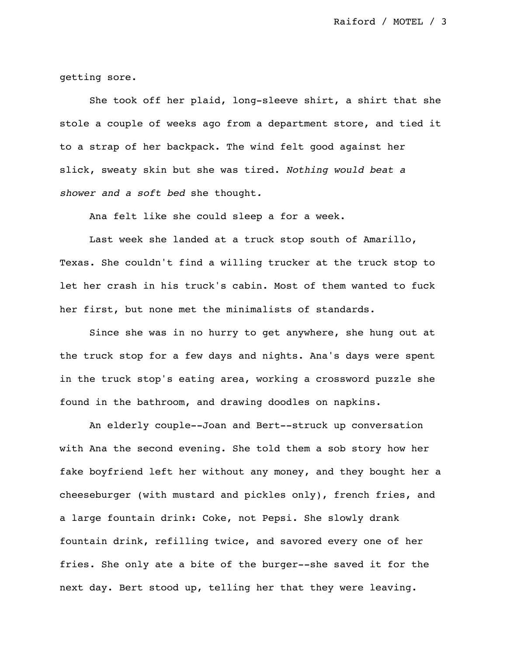getting sore.

She took off her plaid, long-sleeve shirt, a shirt that she stole a couple of weeks ago from a department store, and tied it to a strap of her backpack. The wind felt good against her slick, sweaty skin but she was tired. *Nothing would beat a shower and a soft bed* she thought*.*

Ana felt like she could sleep a for a week.

Last week she landed at a truck stop south of Amarillo, Texas. She couldn't find a willing trucker at the truck stop to let her crash in his truck's cabin. Most of them wanted to fuck her first, but none met the minimalists of standards.

Since she was in no hurry to get anywhere, she hung out at the truck stop for a few days and nights. Ana's days were spent in the truck stop's eating area, working a crossword puzzle she found in the bathroom, and drawing doodles on napkins.

An elderly couple--Joan and Bert--struck up conversation with Ana the second evening. She told them a sob story how her fake boyfriend left her without any money, and they bought her a cheeseburger (with mustard and pickles only), french fries, and a large fountain drink: Coke, not Pepsi. She slowly drank fountain drink, refilling twice, and savored every one of her fries. She only ate a bite of the burger--she saved it for the next day. Bert stood up, telling her that they were leaving.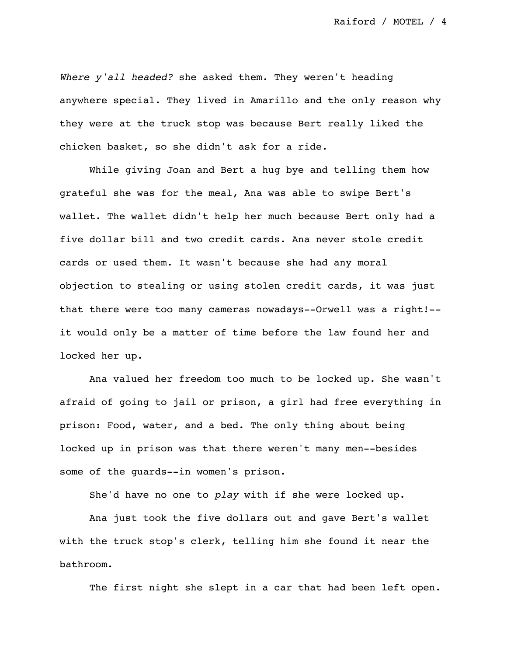*Where y'all headed?* she asked them. They weren't heading anywhere special. They lived in Amarillo and the only reason why they were at the truck stop was because Bert really liked the chicken basket, so she didn't ask for a ride.

While giving Joan and Bert a hug bye and telling them how grateful she was for the meal, Ana was able to swipe Bert's wallet. The wallet didn't help her much because Bert only had a five dollar bill and two credit cards. Ana never stole credit cards or used them. It wasn't because she had any moral objection to stealing or using stolen credit cards, it was just that there were too many cameras nowadays--Orwell was a right!- it would only be a matter of time before the law found her and locked her up.

Ana valued her freedom too much to be locked up. She wasn't afraid of going to jail or prison, a girl had free everything in prison: Food, water, and a bed. The only thing about being locked up in prison was that there weren't many men--besides some of the guards--in women's prison.

She'd have no one to *play* with if she were locked up.

Ana just took the five dollars out and gave Bert's wallet with the truck stop's clerk, telling him she found it near the bathroom.

The first night she slept in a car that had been left open.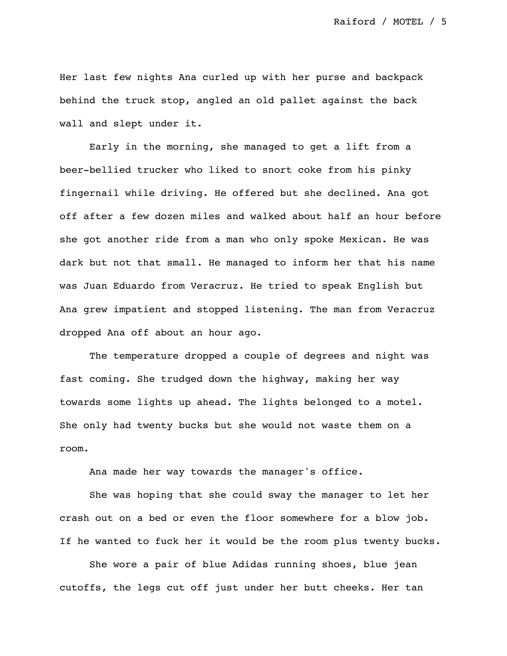Her last few nights Ana curled up with her purse and backpack behind the truck stop, angled an old pallet against the back wall and slept under it.

Early in the morning, she managed to get a lift from a beer-bellied trucker who liked to snort coke from his pinky fingernail while driving. He offered but she declined. Ana got off after a few dozen miles and walked about half an hour before she got another ride from a man who only spoke Mexican. He was dark but not that small. He managed to inform her that his name was Juan Eduardo from Veracruz. He tried to speak English but Ana grew impatient and stopped listening. The man from Veracruz dropped Ana off about an hour ago.

The temperature dropped a couple of degrees and night was fast coming. She trudged down the highway, making her way towards some lights up ahead. The lights belonged to a motel. She only had twenty bucks but she would not waste them on a room.

Ana made her way towards the manager's office.

She was hoping that she could sway the manager to let her crash out on a bed or even the floor somewhere for a blow job. If he wanted to fuck her it would be the room plus twenty bucks.

She wore a pair of blue Adidas running shoes, blue jean cutoffs, the legs cut off just under her butt cheeks. Her tan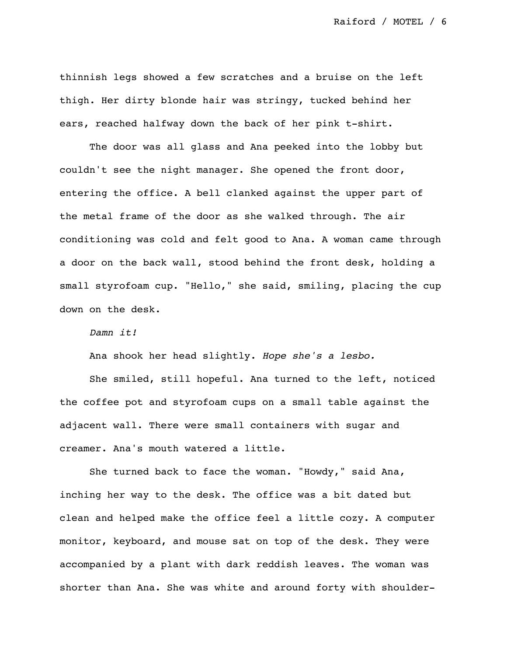thinnish legs showed a few scratches and a bruise on the left thigh. Her dirty blonde hair was stringy, tucked behind her ears, reached halfway down the back of her pink t-shirt.

The door was all glass and Ana peeked into the lobby but couldn't see the night manager. She opened the front door, entering the office. A bell clanked against the upper part of the metal frame of the door as she walked through. The air conditioning was cold and felt good to Ana. A woman came through a door on the back wall, stood behind the front desk, holding a small styrofoam cup. "Hello," she said, smiling, placing the cup down on the desk.

## *Damn it!*

Ana shook her head slightly. *Hope she's a lesbo.*

She smiled, still hopeful. Ana turned to the left, noticed the coffee pot and styrofoam cups on a small table against the adjacent wall. There were small containers with sugar and creamer. Ana's mouth watered a little.

She turned back to face the woman. "Howdy," said Ana, inching her way to the desk. The office was a bit dated but clean and helped make the office feel a little cozy. A computer monitor, keyboard, and mouse sat on top of the desk. They were accompanied by a plant with dark reddish leaves. The woman was shorter than Ana. She was white and around forty with shoulder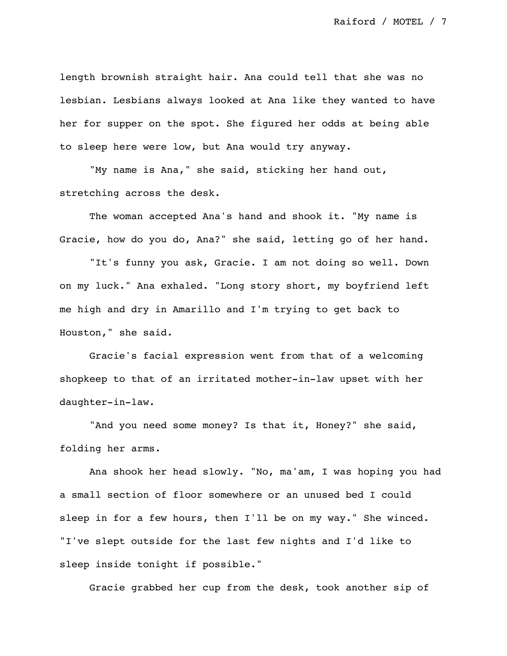length brownish straight hair. Ana could tell that she was no lesbian. Lesbians always looked at Ana like they wanted to have her for supper on the spot. She figured her odds at being able to sleep here were low, but Ana would try anyway.

"My name is Ana," she said, sticking her hand out, stretching across the desk.

The woman accepted Ana's hand and shook it. "My name is Gracie, how do you do, Ana?" she said, letting go of her hand.

"It's funny you ask, Gracie. I am not doing so well. Down on my luck." Ana exhaled. "Long story short, my boyfriend left me high and dry in Amarillo and I'm trying to get back to Houston," she said.

Gracie's facial expression went from that of a welcoming shopkeep to that of an irritated mother-in-law upset with her daughter-in-law.

"And you need some money? Is that it, Honey?" she said, folding her arms.

Ana shook her head slowly. "No, ma'am, I was hoping you had a small section of floor somewhere or an unused bed I could sleep in for a few hours, then I'll be on my way." She winced. "I've slept outside for the last few nights and I'd like to sleep inside tonight if possible."

Gracie grabbed her cup from the desk, took another sip of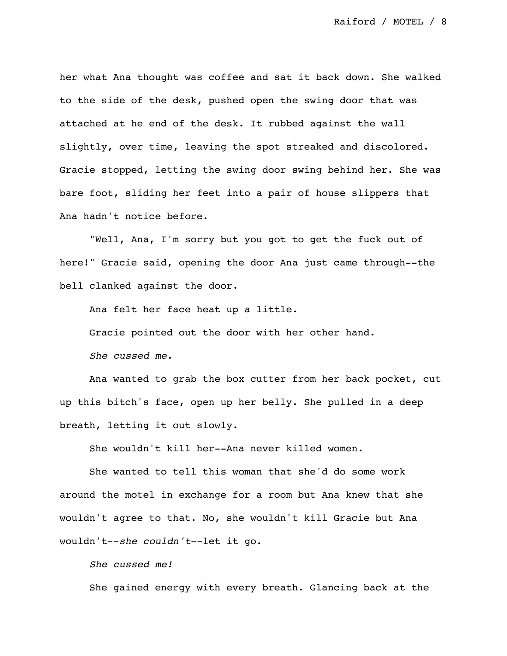her what Ana thought was coffee and sat it back down. She walked to the side of the desk, pushed open the swing door that was attached at he end of the desk. It rubbed against the wall slightly, over time, leaving the spot streaked and discolored. Gracie stopped, letting the swing door swing behind her. She was bare foot, sliding her feet into a pair of house slippers that Ana hadn't notice before.

"Well, Ana, I'm sorry but you got to get the fuck out of here!" Gracie said, opening the door Ana just came through--the bell clanked against the door.

Ana felt her face heat up a little. Gracie pointed out the door with her other hand. *She cussed me.*

Ana wanted to grab the box cutter from her back pocket, cut up this bitch's face, open up her belly. She pulled in a deep breath, letting it out slowly.

She wouldn't kill her--Ana never killed women.

She wanted to tell this woman that she'd do some work around the motel in exchange for a room but Ana knew that she wouldn't agree to that. No, she wouldn't kill Gracie but Ana wouldn't--*she couldn't*--let it go.

*She cussed me!*

She gained energy with every breath. Glancing back at the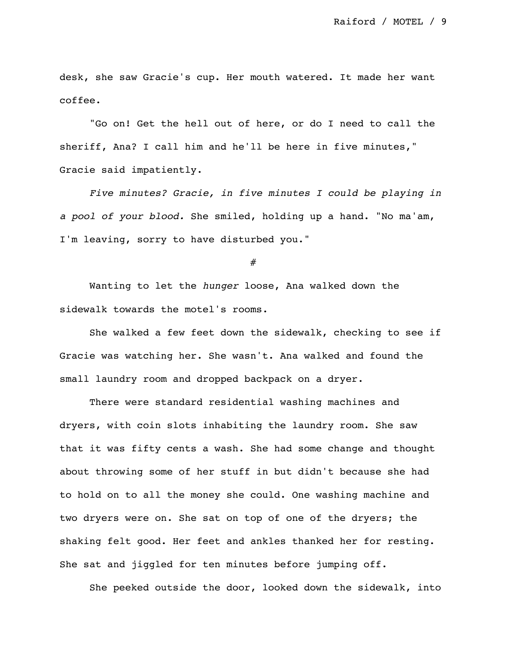desk, she saw Gracie's cup. Her mouth watered. It made her want coffee.

"Go on! Get the hell out of here, or do I need to call the sheriff, Ana? I call him and he'll be here in five minutes," Gracie said impatiently.

*Five minutes? Gracie, in five minutes I could be playing in a pool of your blood.* She smiled, holding up a hand. "No ma'am, I'm leaving, sorry to have disturbed you."

#

Wanting to let the *hunger* loose, Ana walked down the sidewalk towards the motel's rooms.

She walked a few feet down the sidewalk, checking to see if Gracie was watching her. She wasn't. Ana walked and found the small laundry room and dropped backpack on a dryer.

There were standard residential washing machines and dryers, with coin slots inhabiting the laundry room. She saw that it was fifty cents a wash. She had some change and thought about throwing some of her stuff in but didn't because she had to hold on to all the money she could. One washing machine and two dryers were on. She sat on top of one of the dryers; the shaking felt good. Her feet and ankles thanked her for resting. She sat and jiggled for ten minutes before jumping off.

She peeked outside the door, looked down the sidewalk, into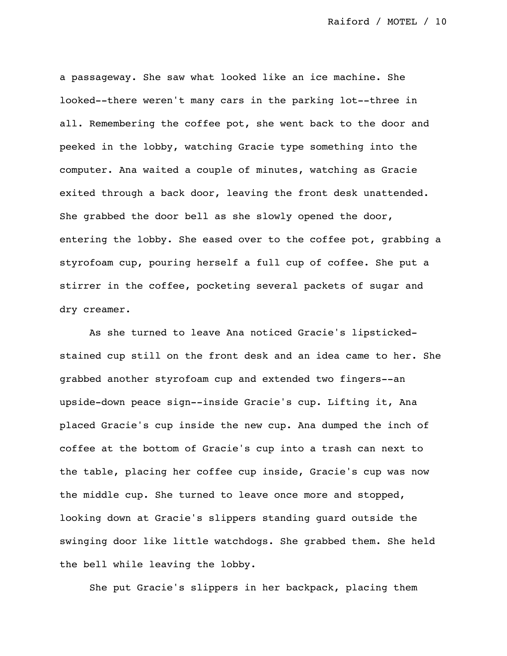a passageway. She saw what looked like an ice machine. She looked--there weren't many cars in the parking lot--three in all. Remembering the coffee pot, she went back to the door and peeked in the lobby, watching Gracie type something into the computer. Ana waited a couple of minutes, watching as Gracie exited through a back door, leaving the front desk unattended. She grabbed the door bell as she slowly opened the door, entering the lobby. She eased over to the coffee pot, grabbing a styrofoam cup, pouring herself a full cup of coffee. She put a stirrer in the coffee, pocketing several packets of sugar and dry creamer.

As she turned to leave Ana noticed Gracie's lipstickedstained cup still on the front desk and an idea came to her. She grabbed another styrofoam cup and extended two fingers--an upside-down peace sign--inside Gracie's cup. Lifting it, Ana placed Gracie's cup inside the new cup. Ana dumped the inch of coffee at the bottom of Gracie's cup into a trash can next to the table, placing her coffee cup inside, Gracie's cup was now the middle cup. She turned to leave once more and stopped, looking down at Gracie's slippers standing guard outside the swinging door like little watchdogs. She grabbed them. She held the bell while leaving the lobby.

She put Gracie's slippers in her backpack, placing them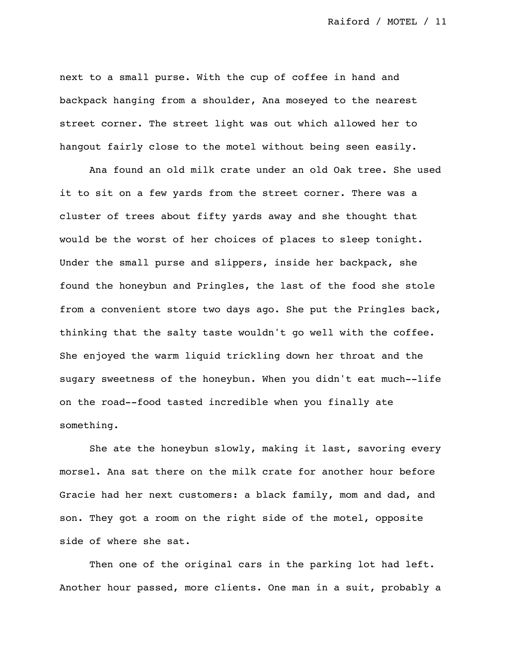next to a small purse. With the cup of coffee in hand and backpack hanging from a shoulder, Ana moseyed to the nearest street corner. The street light was out which allowed her to hangout fairly close to the motel without being seen easily.

Ana found an old milk crate under an old Oak tree. She used it to sit on a few yards from the street corner. There was a cluster of trees about fifty yards away and she thought that would be the worst of her choices of places to sleep tonight. Under the small purse and slippers, inside her backpack, she found the honeybun and Pringles, the last of the food she stole from a convenient store two days ago. She put the Pringles back, thinking that the salty taste wouldn't go well with the coffee. She enjoyed the warm liquid trickling down her throat and the sugary sweetness of the honeybun. When you didn't eat much--life on the road--food tasted incredible when you finally ate something.

She ate the honeybun slowly, making it last, savoring every morsel. Ana sat there on the milk crate for another hour before Gracie had her next customers: a black family, mom and dad, and son. They got a room on the right side of the motel, opposite side of where she sat.

Then one of the original cars in the parking lot had left. Another hour passed, more clients. One man in a suit, probably a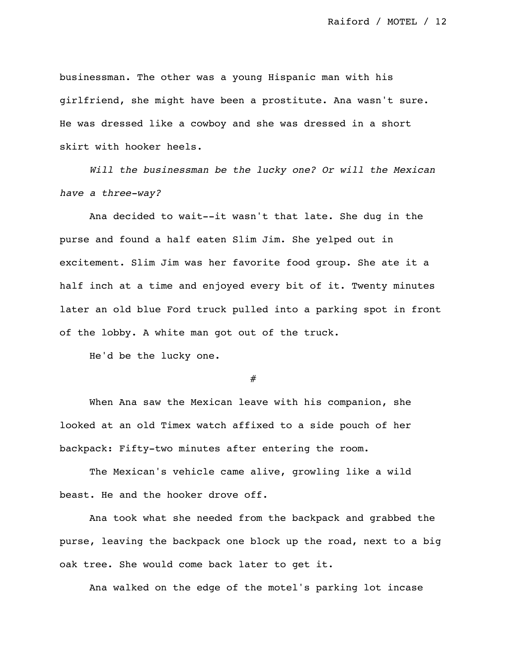businessman. The other was a young Hispanic man with his girlfriend, she might have been a prostitute. Ana wasn't sure. He was dressed like a cowboy and she was dressed in a short skirt with hooker heels.

*Will the businessman be the lucky one? Or will the Mexican have a three-way?*

Ana decided to wait--it wasn't that late. She dug in the purse and found a half eaten Slim Jim. She yelped out in excitement. Slim Jim was her favorite food group. She ate it a half inch at a time and enjoyed every bit of it. Twenty minutes later an old blue Ford truck pulled into a parking spot in front of the lobby. A white man got out of the truck.

He'd be the lucky one.

#

When Ana saw the Mexican leave with his companion, she looked at an old Timex watch affixed to a side pouch of her backpack: Fifty-two minutes after entering the room.

The Mexican's vehicle came alive, growling like a wild beast. He and the hooker drove off.

Ana took what she needed from the backpack and grabbed the purse, leaving the backpack one block up the road, next to a big oak tree. She would come back later to get it.

Ana walked on the edge of the motel's parking lot incase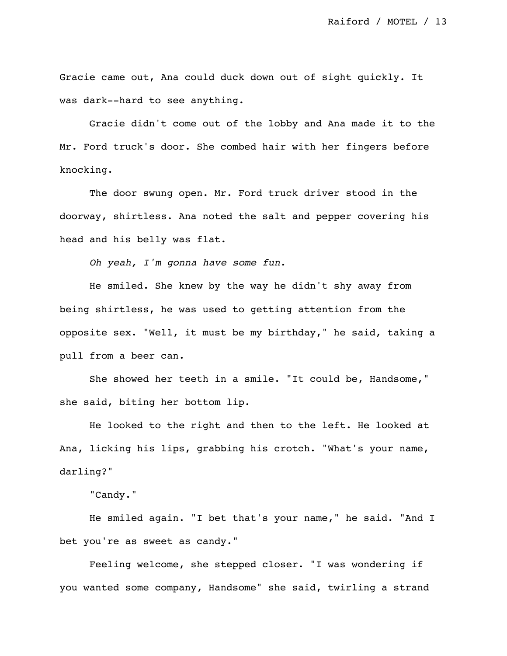Gracie came out, Ana could duck down out of sight quickly. It was dark--hard to see anything.

Gracie didn't come out of the lobby and Ana made it to the Mr. Ford truck's door. She combed hair with her fingers before knocking.

The door swung open. Mr. Ford truck driver stood in the doorway, shirtless. Ana noted the salt and pepper covering his head and his belly was flat.

*Oh yeah, I'm gonna have some fun.*

He smiled. She knew by the way he didn't shy away from being shirtless, he was used to getting attention from the opposite sex. "Well, it must be my birthday," he said, taking a pull from a beer can.

She showed her teeth in a smile. "It could be, Handsome," she said, biting her bottom lip.

He looked to the right and then to the left. He looked at Ana, licking his lips, grabbing his crotch. "What's your name, darling?"

"Candy."

He smiled again. "I bet that's your name," he said. "And I bet you're as sweet as candy."

Feeling welcome, she stepped closer. "I was wondering if you wanted some company, Handsome" she said, twirling a strand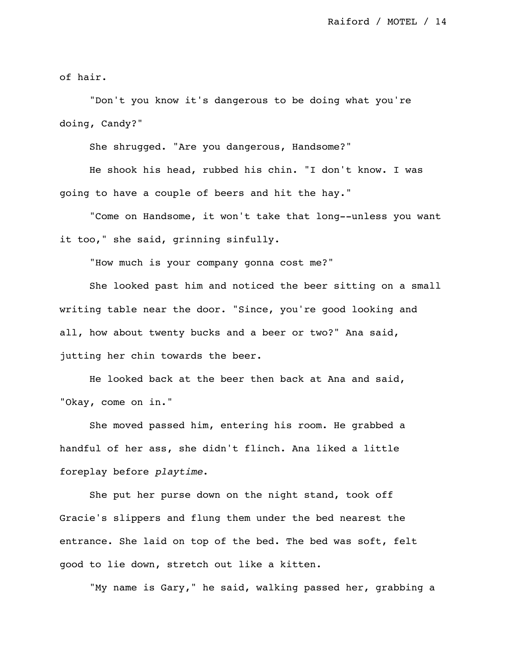of hair.

"Don't you know it's dangerous to be doing what you're doing, Candy?"

She shrugged. "Are you dangerous, Handsome?"

He shook his head, rubbed his chin. "I don't know. I was going to have a couple of beers and hit the hay."

"Come on Handsome, it won't take that long--unless you want it too," she said, grinning sinfully.

"How much is your company gonna cost me?"

She looked past him and noticed the beer sitting on a small writing table near the door. "Since, you're good looking and all, how about twenty bucks and a beer or two?" Ana said, jutting her chin towards the beer.

He looked back at the beer then back at Ana and said, "Okay, come on in."

She moved passed him, entering his room. He grabbed a handful of her ass, she didn't flinch. Ana liked a little foreplay before *playtime*.

She put her purse down on the night stand, took off Gracie's slippers and flung them under the bed nearest the entrance. She laid on top of the bed. The bed was soft, felt good to lie down, stretch out like a kitten.

"My name is Gary," he said, walking passed her, grabbing a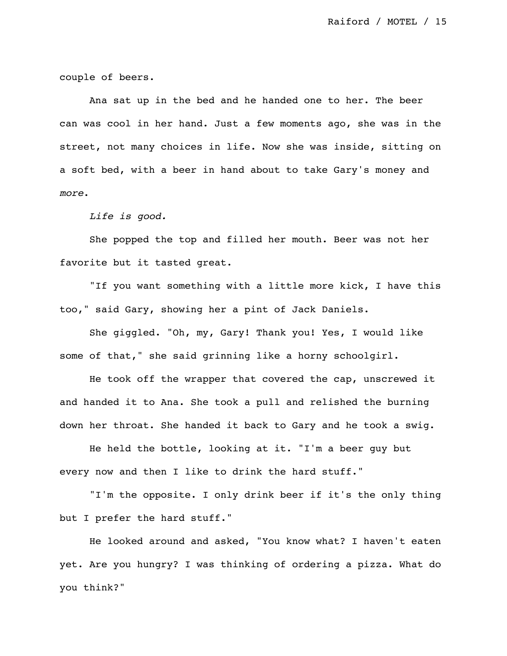couple of beers.

Ana sat up in the bed and he handed one to her. The beer can was cool in her hand. Just a few moments ago, she was in the street, not many choices in life. Now she was inside, sitting on a soft bed, with a beer in hand about to take Gary's money and *more*.

*Life is good.*

She popped the top and filled her mouth. Beer was not her favorite but it tasted great.

"If you want something with a little more kick, I have this too," said Gary, showing her a pint of Jack Daniels.

She giggled. "Oh, my, Gary! Thank you! Yes, I would like some of that," she said grinning like a horny schoolgirl.

He took off the wrapper that covered the cap, unscrewed it and handed it to Ana. She took a pull and relished the burning down her throat. She handed it back to Gary and he took a swig.

He held the bottle, looking at it. "I'm a beer guy but every now and then I like to drink the hard stuff."

"I'm the opposite. I only drink beer if it's the only thing but I prefer the hard stuff."

He looked around and asked, "You know what? I haven't eaten yet. Are you hungry? I was thinking of ordering a pizza. What do you think?"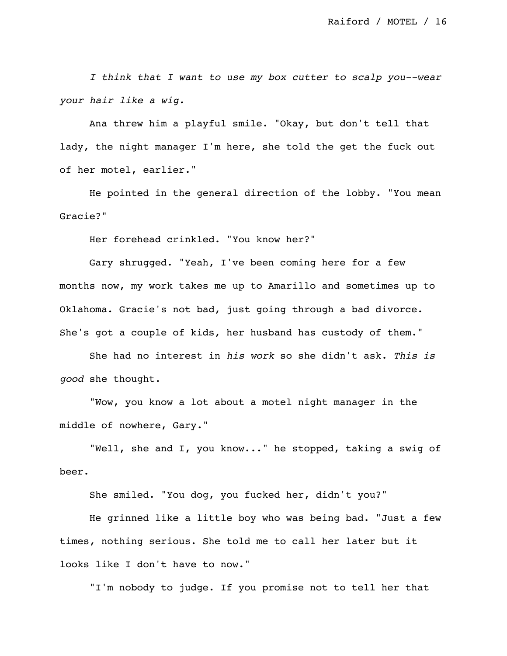*I think that I want to use my box cutter to scalp you--wear your hair like a wig.*

Ana threw him a playful smile. "Okay, but don't tell that lady, the night manager I'm here, she told the get the fuck out of her motel, earlier."

He pointed in the general direction of the lobby. "You mean Gracie?"

Her forehead crinkled. "You know her?"

Gary shrugged. "Yeah, I've been coming here for a few months now, my work takes me up to Amarillo and sometimes up to Oklahoma. Gracie's not bad, just going through a bad divorce. She's got a couple of kids, her husband has custody of them."

She had no interest in *his work* so she didn't ask. *This is good* she thought.

"Wow, you know a lot about a motel night manager in the middle of nowhere, Gary."

"Well, she and I, you know..." he stopped, taking a swig of beer.

She smiled. "You dog, you fucked her, didn't you?"

He grinned like a little boy who was being bad. "Just a few times, nothing serious. She told me to call her later but it looks like I don't have to now."

"I'm nobody to judge. If you promise not to tell her that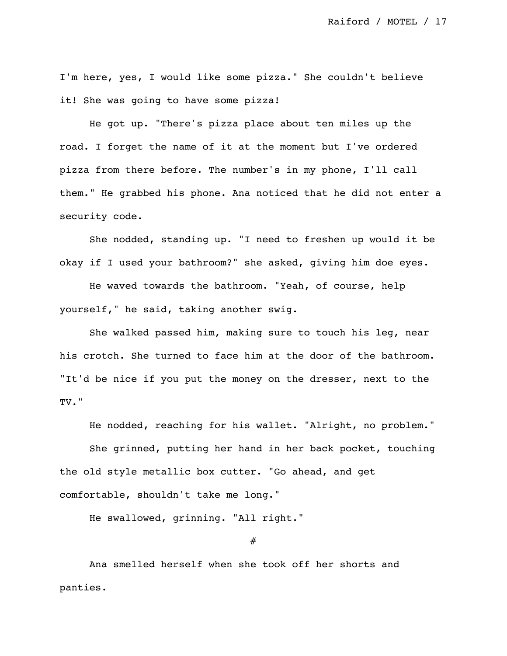I'm here, yes, I would like some pizza." She couldn't believe it! She was going to have some pizza!

He got up. "There's pizza place about ten miles up the road. I forget the name of it at the moment but I've ordered pizza from there before. The number's in my phone, I'll call them." He grabbed his phone. Ana noticed that he did not enter a security code.

She nodded, standing up. "I need to freshen up would it be okay if I used your bathroom?" she asked, giving him doe eyes.

He waved towards the bathroom. "Yeah, of course, help yourself," he said, taking another swig.

She walked passed him, making sure to touch his leg, near his crotch. She turned to face him at the door of the bathroom. "It'd be nice if you put the money on the dresser, next to the TV."

He nodded, reaching for his wallet. "Alright, no problem." She grinned, putting her hand in her back pocket, touching the old style metallic box cutter. "Go ahead, and get comfortable, shouldn't take me long."

He swallowed, grinning. "All right."

#

Ana smelled herself when she took off her shorts and panties.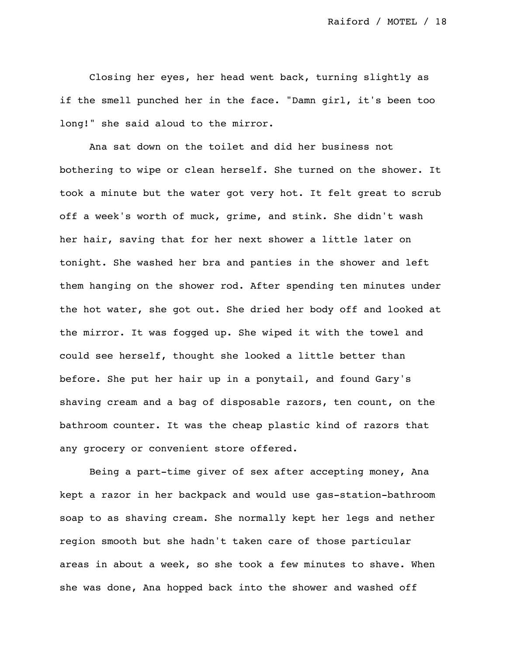Closing her eyes, her head went back, turning slightly as if the smell punched her in the face. "Damn girl, it's been too long!" she said aloud to the mirror.

Ana sat down on the toilet and did her business not bothering to wipe or clean herself. She turned on the shower. It took a minute but the water got very hot. It felt great to scrub off a week's worth of muck, grime, and stink. She didn't wash her hair, saving that for her next shower a little later on tonight. She washed her bra and panties in the shower and left them hanging on the shower rod. After spending ten minutes under the hot water, she got out. She dried her body off and looked at the mirror. It was fogged up. She wiped it with the towel and could see herself, thought she looked a little better than before. She put her hair up in a ponytail, and found Gary's shaving cream and a bag of disposable razors, ten count, on the bathroom counter. It was the cheap plastic kind of razors that any grocery or convenient store offered.

Being a part-time giver of sex after accepting money, Ana kept a razor in her backpack and would use gas-station-bathroom soap to as shaving cream. She normally kept her legs and nether region smooth but she hadn't taken care of those particular areas in about a week, so she took a few minutes to shave. When she was done, Ana hopped back into the shower and washed off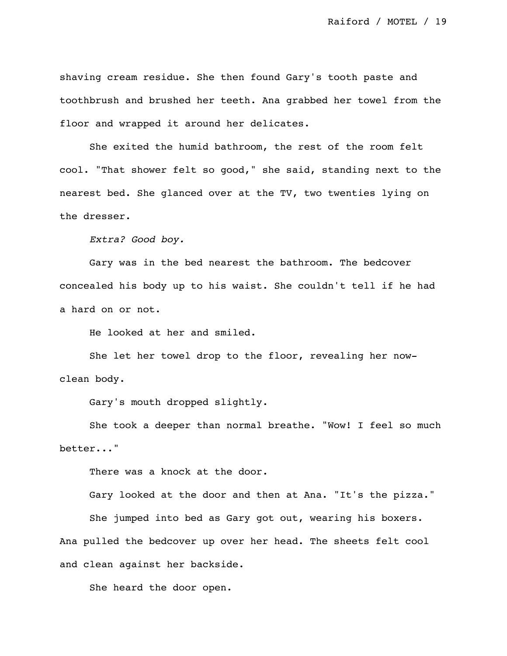shaving cream residue. She then found Gary's tooth paste and toothbrush and brushed her teeth. Ana grabbed her towel from the floor and wrapped it around her delicates.

She exited the humid bathroom, the rest of the room felt cool. "That shower felt so good," she said, standing next to the nearest bed. She glanced over at the TV, two twenties lying on the dresser.

*Extra? Good boy.*

Gary was in the bed nearest the bathroom. The bedcover concealed his body up to his waist. She couldn't tell if he had a hard on or not.

He looked at her and smiled.

She let her towel drop to the floor, revealing her nowclean body.

Gary's mouth dropped slightly.

She took a deeper than normal breathe. "Wow! I feel so much better..."

There was a knock at the door.

Gary looked at the door and then at Ana. "It's the pizza." She jumped into bed as Gary got out, wearing his boxers. Ana pulled the bedcover up over her head. The sheets felt cool and clean against her backside.

She heard the door open.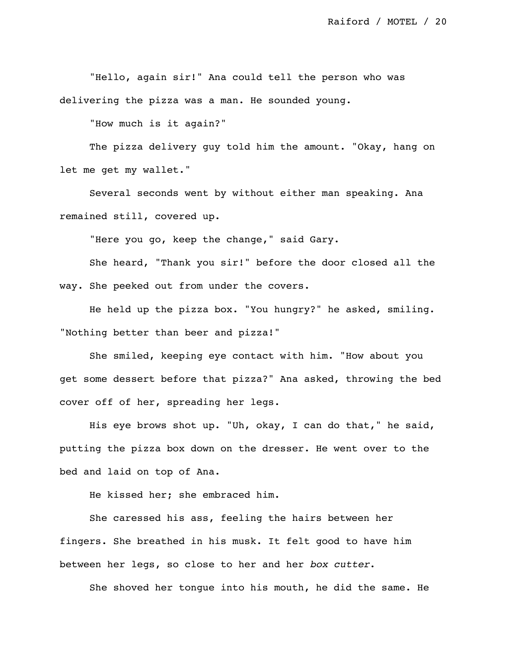"Hello, again sir!" Ana could tell the person who was delivering the pizza was a man. He sounded young.

"How much is it again?"

The pizza delivery guy told him the amount. "Okay, hang on let me get my wallet."

Several seconds went by without either man speaking. Ana remained still, covered up.

"Here you go, keep the change," said Gary.

She heard, "Thank you sir!" before the door closed all the way. She peeked out from under the covers.

He held up the pizza box. "You hungry?" he asked, smiling. "Nothing better than beer and pizza!"

She smiled, keeping eye contact with him. "How about you get some dessert before that pizza?" Ana asked, throwing the bed cover off of her, spreading her legs.

His eye brows shot up. "Uh, okay, I can do that," he said, putting the pizza box down on the dresser. He went over to the bed and laid on top of Ana.

He kissed her; she embraced him.

She caressed his ass, feeling the hairs between her fingers. She breathed in his musk. It felt good to have him between her legs, so close to her and her *box cutter*.

She shoved her tongue into his mouth, he did the same. He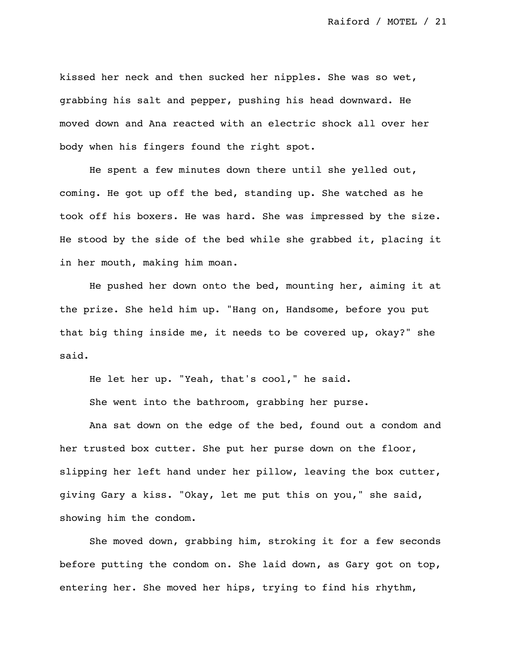kissed her neck and then sucked her nipples. She was so wet, grabbing his salt and pepper, pushing his head downward. He moved down and Ana reacted with an electric shock all over her body when his fingers found the right spot.

He spent a few minutes down there until she yelled out, coming. He got up off the bed, standing up. She watched as he took off his boxers. He was hard. She was impressed by the size. He stood by the side of the bed while she grabbed it, placing it in her mouth, making him moan.

He pushed her down onto the bed, mounting her, aiming it at the prize. She held him up. "Hang on, Handsome, before you put that big thing inside me, it needs to be covered up, okay?" she said.

He let her up. "Yeah, that's cool," he said.

She went into the bathroom, grabbing her purse.

Ana sat down on the edge of the bed, found out a condom and her trusted box cutter. She put her purse down on the floor, slipping her left hand under her pillow, leaving the box cutter, giving Gary a kiss. "Okay, let me put this on you," she said, showing him the condom.

She moved down, grabbing him, stroking it for a few seconds before putting the condom on. She laid down, as Gary got on top, entering her. She moved her hips, trying to find his rhythm,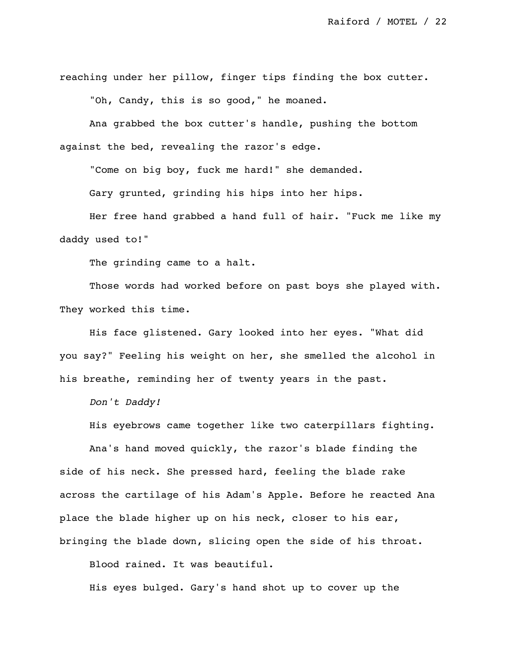reaching under her pillow, finger tips finding the box cutter.

"Oh, Candy, this is so good," he moaned.

Ana grabbed the box cutter's handle, pushing the bottom against the bed, revealing the razor's edge.

"Come on big boy, fuck me hard!" she demanded.

Gary grunted, grinding his hips into her hips.

Her free hand grabbed a hand full of hair. "Fuck me like my daddy used to!"

The grinding came to a halt.

Those words had worked before on past boys she played with. They worked this time.

His face glistened. Gary looked into her eyes. "What did you say?" Feeling his weight on her, she smelled the alcohol in his breathe, reminding her of twenty years in the past.

*Don't Daddy!*

His eyebrows came together like two caterpillars fighting.

Ana's hand moved quickly, the razor's blade finding the side of his neck. She pressed hard, feeling the blade rake across the cartilage of his Adam's Apple. Before he reacted Ana place the blade higher up on his neck, closer to his ear, bringing the blade down, slicing open the side of his throat.

Blood rained. It was beautiful.

His eyes bulged. Gary's hand shot up to cover up the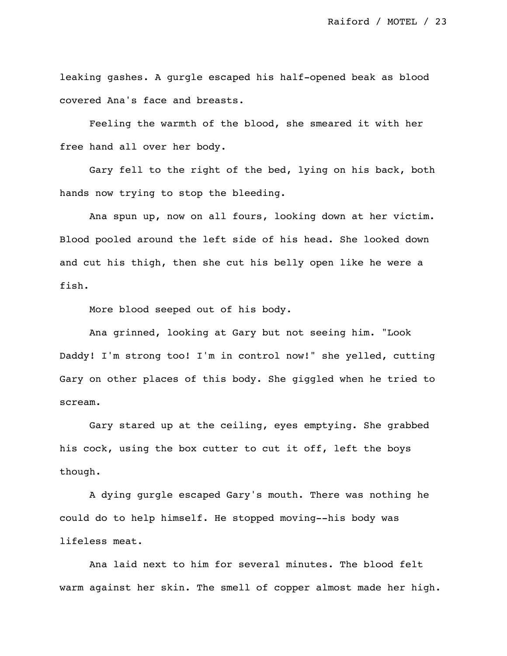leaking gashes. A gurgle escaped his half-opened beak as blood covered Ana's face and breasts.

Feeling the warmth of the blood, she smeared it with her free hand all over her body.

Gary fell to the right of the bed, lying on his back, both hands now trying to stop the bleeding.

Ana spun up, now on all fours, looking down at her victim. Blood pooled around the left side of his head. She looked down and cut his thigh, then she cut his belly open like he were a fish.

More blood seeped out of his body.

Ana grinned, looking at Gary but not seeing him. "Look Daddy! I'm strong too! I'm in control now!" she yelled, cutting Gary on other places of this body. She giggled when he tried to scream.

Gary stared up at the ceiling, eyes emptying. She grabbed his cock, using the box cutter to cut it off, left the boys though.

A dying gurgle escaped Gary's mouth. There was nothing he could do to help himself. He stopped moving--his body was lifeless meat.

Ana laid next to him for several minutes. The blood felt warm against her skin. The smell of copper almost made her high.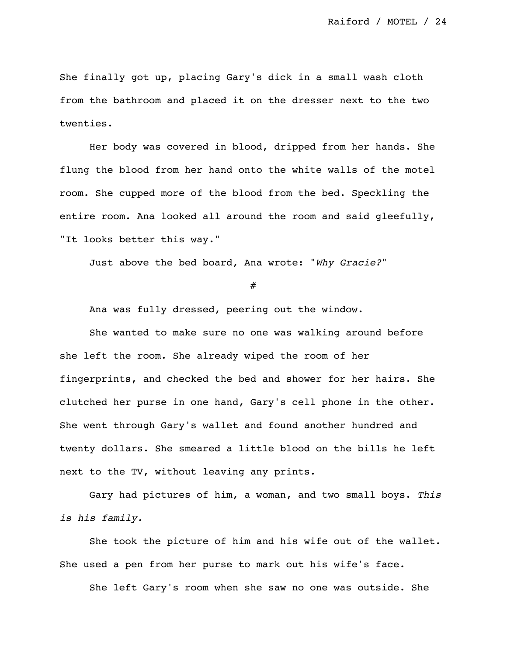She finally got up, placing Gary's dick in a small wash cloth from the bathroom and placed it on the dresser next to the two twenties.

Her body was covered in blood, dripped from her hands. She flung the blood from her hand onto the white walls of the motel room. She cupped more of the blood from the bed. Speckling the entire room. Ana looked all around the room and said gleefully, "It looks better this way."

Just above the bed board, Ana wrote: "*Why Gracie?*"

#

Ana was fully dressed, peering out the window.

She wanted to make sure no one was walking around before she left the room. She already wiped the room of her fingerprints, and checked the bed and shower for her hairs. She clutched her purse in one hand, Gary's cell phone in the other. She went through Gary's wallet and found another hundred and twenty dollars. She smeared a little blood on the bills he left next to the TV, without leaving any prints.

Gary had pictures of him, a woman, and two small boys. *This is his family.*

She took the picture of him and his wife out of the wallet. She used a pen from her purse to mark out his wife's face.

She left Gary's room when she saw no one was outside. She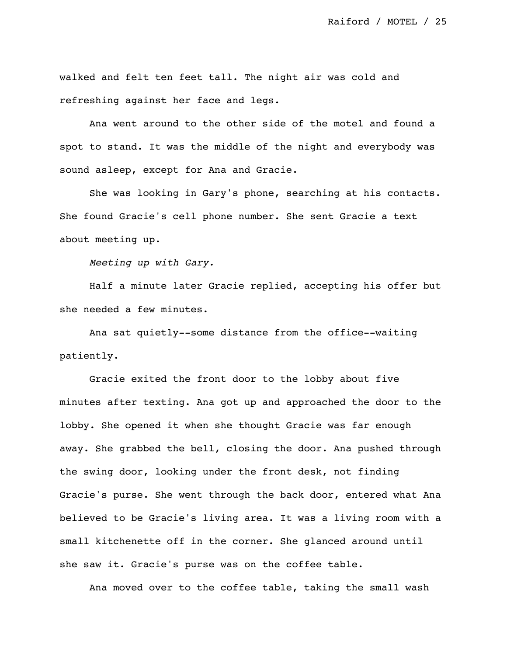walked and felt ten feet tall. The night air was cold and refreshing against her face and legs.

Ana went around to the other side of the motel and found a spot to stand. It was the middle of the night and everybody was sound asleep, except for Ana and Gracie.

She was looking in Gary's phone, searching at his contacts. She found Gracie's cell phone number. She sent Gracie a text about meeting up.

*Meeting up with Gary.*

Half a minute later Gracie replied, accepting his offer but she needed a few minutes.

Ana sat quietly--some distance from the office--waiting patiently.

Gracie exited the front door to the lobby about five minutes after texting. Ana got up and approached the door to the lobby. She opened it when she thought Gracie was far enough away. She grabbed the bell, closing the door. Ana pushed through the swing door, looking under the front desk, not finding Gracie's purse. She went through the back door, entered what Ana believed to be Gracie's living area. It was a living room with a small kitchenette off in the corner. She glanced around until she saw it. Gracie's purse was on the coffee table.

Ana moved over to the coffee table, taking the small wash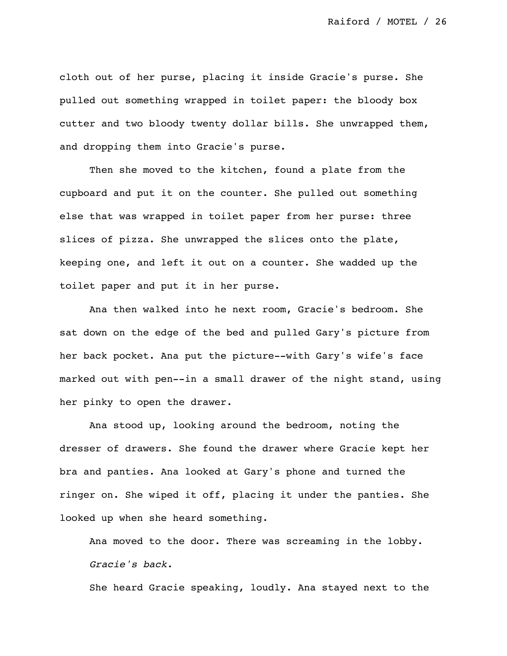cloth out of her purse, placing it inside Gracie's purse. She pulled out something wrapped in toilet paper: the bloody box cutter and two bloody twenty dollar bills. She unwrapped them, and dropping them into Gracie's purse.

Then she moved to the kitchen, found a plate from the cupboard and put it on the counter. She pulled out something else that was wrapped in toilet paper from her purse: three slices of pizza. She unwrapped the slices onto the plate, keeping one, and left it out on a counter. She wadded up the toilet paper and put it in her purse.

Ana then walked into he next room, Gracie's bedroom. She sat down on the edge of the bed and pulled Gary's picture from her back pocket. Ana put the picture--with Gary's wife's face marked out with pen--in a small drawer of the night stand, using her pinky to open the drawer.

Ana stood up, looking around the bedroom, noting the dresser of drawers. She found the drawer where Gracie kept her bra and panties. Ana looked at Gary's phone and turned the ringer on. She wiped it off, placing it under the panties. She looked up when she heard something.

Ana moved to the door. There was screaming in the lobby. *Gracie's back.*

She heard Gracie speaking, loudly. Ana stayed next to the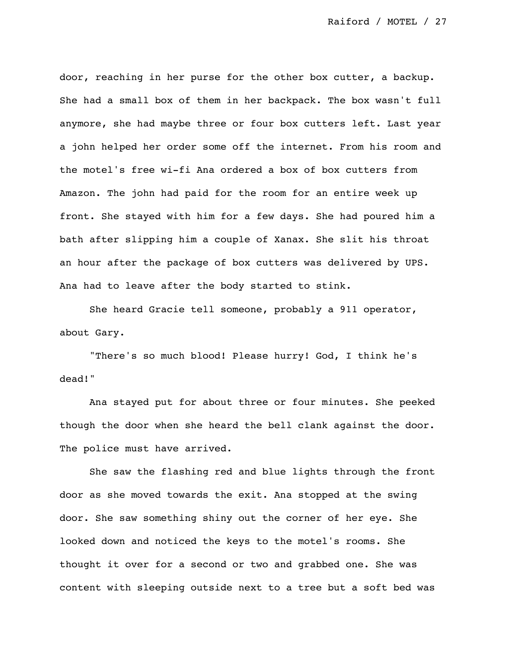door, reaching in her purse for the other box cutter, a backup. She had a small box of them in her backpack. The box wasn't full anymore, she had maybe three or four box cutters left. Last year a john helped her order some off the internet. From his room and the motel's free wi-fi Ana ordered a box of box cutters from Amazon. The john had paid for the room for an entire week up front. She stayed with him for a few days. She had poured him a bath after slipping him a couple of Xanax. She slit his throat an hour after the package of box cutters was delivered by UPS. Ana had to leave after the body started to stink.

She heard Gracie tell someone, probably a 911 operator, about Gary.

"There's so much blood! Please hurry! God, I think he's dead!"

Ana stayed put for about three or four minutes. She peeked though the door when she heard the bell clank against the door. The police must have arrived.

She saw the flashing red and blue lights through the front door as she moved towards the exit. Ana stopped at the swing door. She saw something shiny out the corner of her eye. She looked down and noticed the keys to the motel's rooms. She thought it over for a second or two and grabbed one. She was content with sleeping outside next to a tree but a soft bed was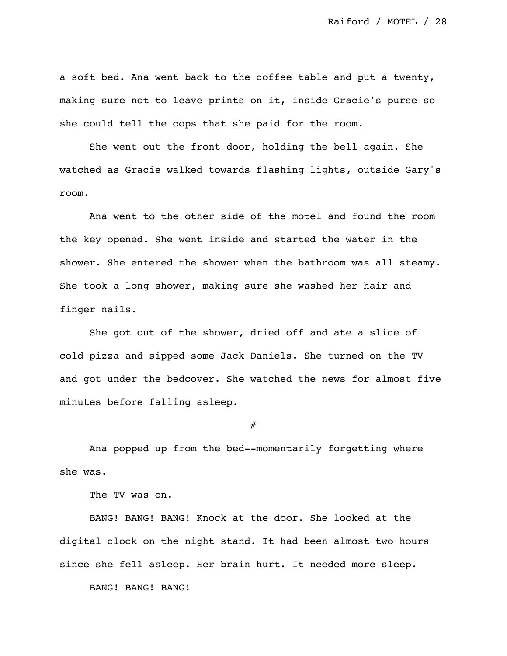a soft bed. Ana went back to the coffee table and put a twenty, making sure not to leave prints on it, inside Gracie's purse so she could tell the cops that she paid for the room.

She went out the front door, holding the bell again. She watched as Gracie walked towards flashing lights, outside Gary's room.

Ana went to the other side of the motel and found the room the key opened. She went inside and started the water in the shower. She entered the shower when the bathroom was all steamy. She took a long shower, making sure she washed her hair and finger nails.

She got out of the shower, dried off and ate a slice of cold pizza and sipped some Jack Daniels. She turned on the TV and got under the bedcover. She watched the news for almost five minutes before falling asleep.

#

Ana popped up from the bed--momentarily forgetting where she was.

The TV was on.

BANG! BANG! BANG! Knock at the door. She looked at the digital clock on the night stand. It had been almost two hours since she fell asleep. Her brain hurt. It needed more sleep.

BANG! BANG! BANG!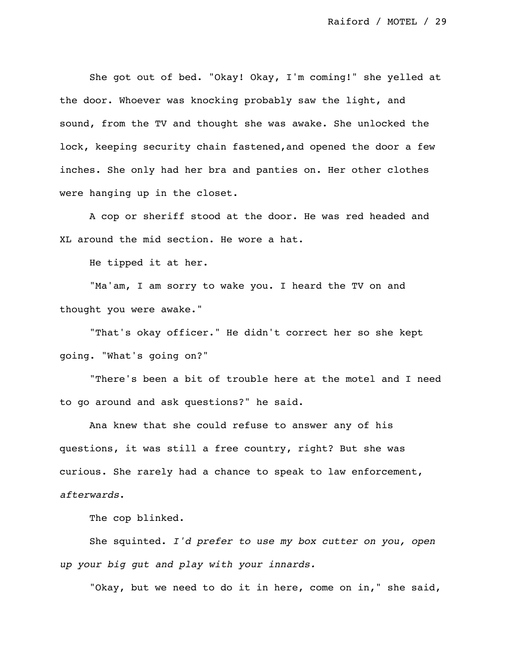She got out of bed. "Okay! Okay, I'm coming!" she yelled at the door. Whoever was knocking probably saw the light, and sound, from the TV and thought she was awake. She unlocked the lock, keeping security chain fastened,and opened the door a few inches. She only had her bra and panties on. Her other clothes were hanging up in the closet.

A cop or sheriff stood at the door. He was red headed and XL around the mid section. He wore a hat.

He tipped it at her.

"Ma'am, I am sorry to wake you. I heard the TV on and thought you were awake."

"That's okay officer." He didn't correct her so she kept going. "What's going on?"

"There's been a bit of trouble here at the motel and I need to go around and ask questions?" he said.

Ana knew that she could refuse to answer any of his questions, it was still a free country, right? But she was curious. She rarely had a chance to speak to law enforcement, *afterwards*.

The cop blinked.

She squinted. *I'd prefer to use my box cutter on you, open up your big gut and play with your innards.*

"Okay, but we need to do it in here, come on in," she said,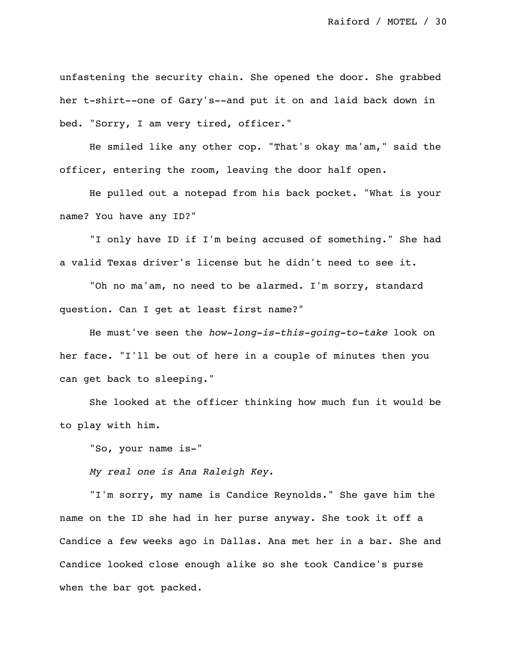unfastening the security chain. She opened the door. She grabbed her t-shirt--one of Gary's--and put it on and laid back down in bed. "Sorry, I am very tired, officer."

He smiled like any other cop. "That's okay ma'am," said the officer, entering the room, leaving the door half open.

He pulled out a notepad from his back pocket. "What is your name? You have any ID?"

"I only have ID if I'm being accused of something." She had a valid Texas driver's license but he didn't need to see it.

"Oh no ma'am, no need to be alarmed. I'm sorry, standard question. Can I get at least first name?"

He must've seen the *how-long-is-this-going-to-take* look on her face. "I'll be out of here in a couple of minutes then you can get back to sleeping."

She looked at the officer thinking how much fun it would be to play with him.

"So, your name is-"

*My real one is Ana Raleigh Key.*

"I'm sorry, my name is Candice Reynolds." She gave him the name on the ID she had in her purse anyway. She took it off a Candice a few weeks ago in Dallas. Ana met her in a bar. She and Candice looked close enough alike so she took Candice's purse when the bar got packed.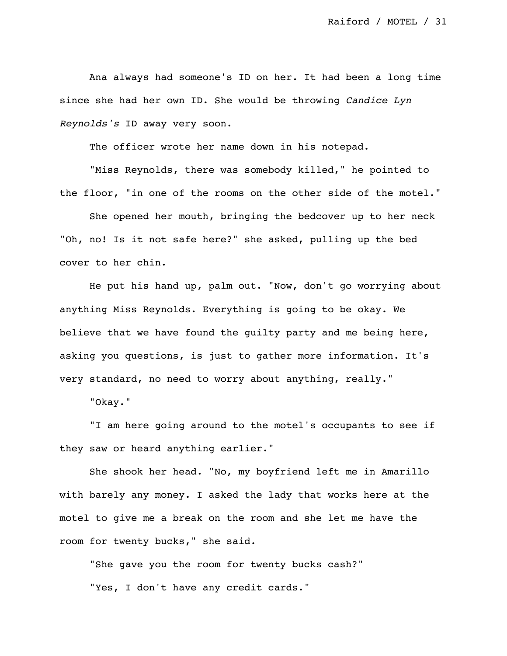Ana always had someone's ID on her. It had been a long time since she had her own ID. She would be throwing *Candice Lyn Reynolds's* ID away very soon.

The officer wrote her name down in his notepad.

"Miss Reynolds, there was somebody killed," he pointed to the floor, "in one of the rooms on the other side of the motel."

She opened her mouth, bringing the bedcover up to her neck "Oh, no! Is it not safe here?" she asked, pulling up the bed cover to her chin.

He put his hand up, palm out. "Now, don't go worrying about anything Miss Reynolds. Everything is going to be okay. We believe that we have found the guilty party and me being here, asking you questions, is just to gather more information. It's very standard, no need to worry about anything, really."

"Okay."

"I am here going around to the motel's occupants to see if they saw or heard anything earlier."

She shook her head. "No, my boyfriend left me in Amarillo with barely any money. I asked the lady that works here at the motel to give me a break on the room and she let me have the room for twenty bucks," she said.

"She gave you the room for twenty bucks cash?" "Yes, I don't have any credit cards."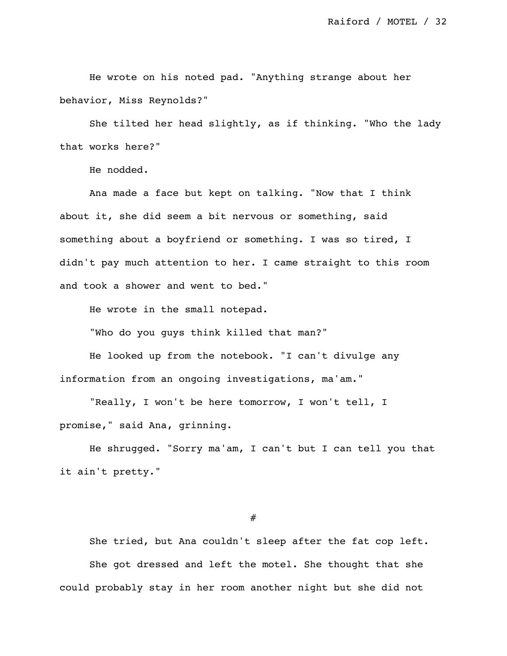He wrote on his noted pad. "Anything strange about her behavior, Miss Reynolds?"

She tilted her head slightly, as if thinking. "Who the lady that works here?"

He nodded.

Ana made a face but kept on talking. "Now that I think about it, she did seem a bit nervous or something, said something about a boyfriend or something. I was so tired, I didn't pay much attention to her. I came straight to this room and took a shower and went to bed."

He wrote in the small notepad.

"Who do you guys think killed that man?"

He looked up from the notebook. "I can't divulge any information from an ongoing investigations, ma'am."

"Really, I won't be here tomorrow, I won't tell, I promise," said Ana, grinning.

He shrugged. "Sorry ma'am, I can't but I can tell you that it ain't pretty."

#

She tried, but Ana couldn't sleep after the fat cop left. She got dressed and left the motel. She thought that she could probably stay in her room another night but she did not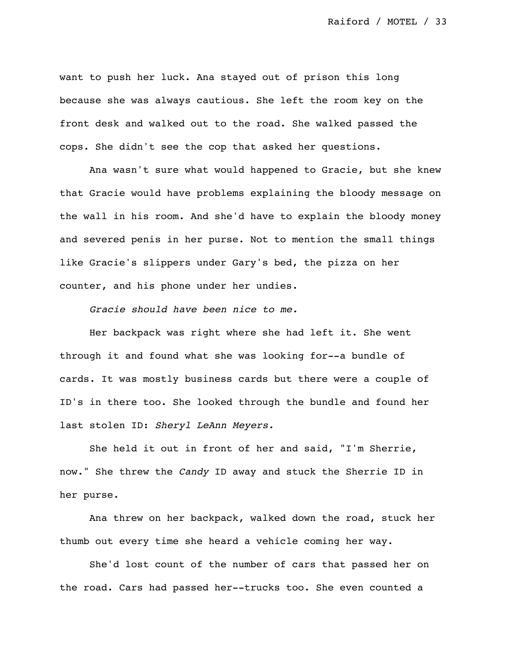want to push her luck. Ana stayed out of prison this long because she was always cautious. She left the room key on the front desk and walked out to the road. She walked passed the cops. She didn't see the cop that asked her questions.

Ana wasn't sure what would happened to Gracie, but she knew that Gracie would have problems explaining the bloody message on the wall in his room. And she'd have to explain the bloody money and severed penis in her purse. Not to mention the small things like Gracie's slippers under Gary's bed, the pizza on her counter, and his phone under her undies.

*Gracie should have been nice to me.*

Her backpack was right where she had left it. She went through it and found what she was looking for--a bundle of cards. It was mostly business cards but there were a couple of ID's in there too. She looked through the bundle and found her last stolen ID: *Sheryl LeAnn Meyers.*

She held it out in front of her and said, "I'm Sherrie, now." She threw the *Candy* ID away and stuck the Sherrie ID in her purse.

Ana threw on her backpack, walked down the road, stuck her thumb out every time she heard a vehicle coming her way.

She'd lost count of the number of cars that passed her on the road. Cars had passed her--trucks too. She even counted a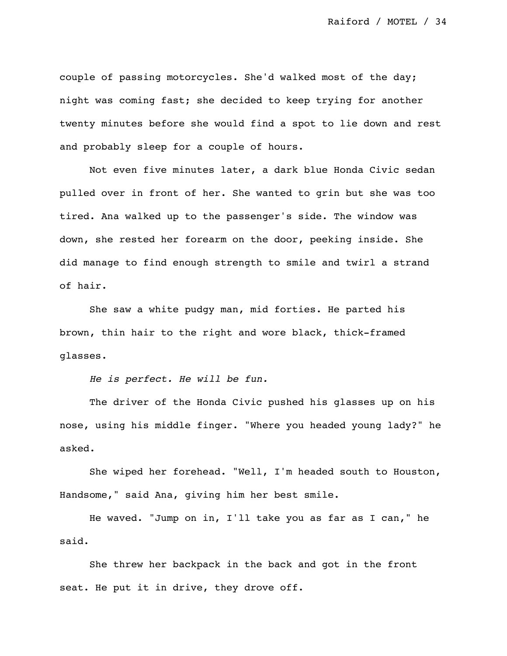couple of passing motorcycles. She'd walked most of the day; night was coming fast; she decided to keep trying for another twenty minutes before she would find a spot to lie down and rest and probably sleep for a couple of hours.

Not even five minutes later, a dark blue Honda Civic sedan pulled over in front of her. She wanted to grin but she was too tired. Ana walked up to the passenger's side. The window was down, she rested her forearm on the door, peeking inside. She did manage to find enough strength to smile and twirl a strand of hair.

She saw a white pudgy man, mid forties. He parted his brown, thin hair to the right and wore black, thick-framed glasses.

*He is perfect. He will be fun.*

The driver of the Honda Civic pushed his glasses up on his nose, using his middle finger. "Where you headed young lady?" he asked.

She wiped her forehead. "Well, I'm headed south to Houston, Handsome," said Ana, giving him her best smile.

He waved. "Jump on in, I'll take you as far as I can," he said.

She threw her backpack in the back and got in the front seat. He put it in drive, they drove off.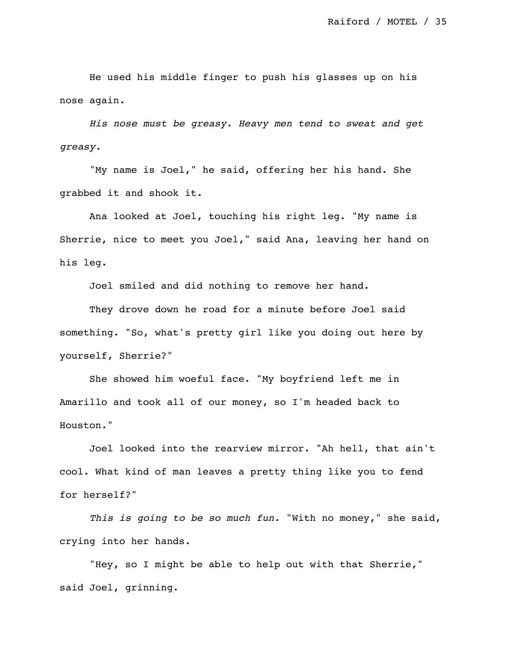He used his middle finger to push his glasses up on his nose again.

*His nose must be greasy. Heavy men tend to sweat and get greasy.*

"My name is Joel," he said, offering her his hand. She grabbed it and shook it.

Ana looked at Joel, touching his right leg. "My name is Sherrie, nice to meet you Joel," said Ana, leaving her hand on his leg.

Joel smiled and did nothing to remove her hand.

They drove down he road for a minute before Joel said something. "So, what's pretty girl like you doing out here by yourself, Sherrie?"

She showed him woeful face. "My boyfriend left me in Amarillo and took all of our money, so I'm headed back to Houston."

Joel looked into the rearview mirror. "Ah hell, that ain't cool. What kind of man leaves a pretty thing like you to fend for herself?"

*This is going to be so much fun.* "With no money," she said, crying into her hands.

"Hey, so I might be able to help out with that Sherrie," said Joel, grinning.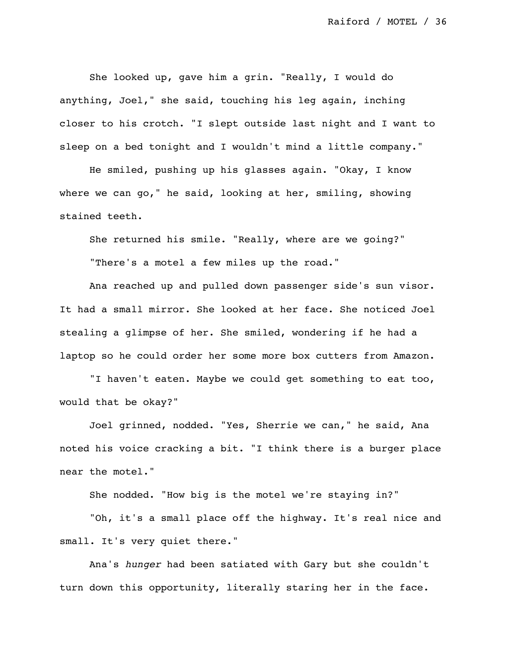She looked up, gave him a grin. "Really, I would do anything, Joel," she said, touching his leg again, inching closer to his crotch. "I slept outside last night and I want to sleep on a bed tonight and I wouldn't mind a little company."

He smiled, pushing up his glasses again. "Okay, I know where we can go," he said, looking at her, smiling, showing stained teeth.

She returned his smile. "Really, where are we going?" "There's a motel a few miles up the road."

Ana reached up and pulled down passenger side's sun visor. It had a small mirror. She looked at her face. She noticed Joel stealing a glimpse of her. She smiled, wondering if he had a laptop so he could order her some more box cutters from Amazon.

"I haven't eaten. Maybe we could get something to eat too, would that be okay?"

Joel grinned, nodded. "Yes, Sherrie we can," he said, Ana noted his voice cracking a bit. "I think there is a burger place near the motel."

She nodded. "How big is the motel we're staying in?"

"Oh, it's a small place off the highway. It's real nice and small. It's very quiet there."

Ana's *hunger* had been satiated with Gary but she couldn't turn down this opportunity, literally staring her in the face.